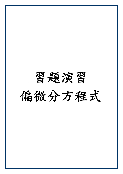## 習題演習 偏微分方程式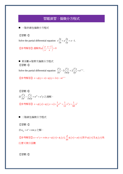## 習題演習:偏微分方程式

■ 一階非線性偏微分方程式

【習題 1】

Solve the partial differential equation  $x \frac{\partial z}{\partial x} + y \frac{\partial z}{\partial y} = z - 1$  $\lambda x$   $\partial y$  $\frac{\partial z}{\partial x} + y \frac{\partial z}{\partial y} = z - 1$ .

【参考解答】通解爲 $\phi\left(\frac{y}{2}, \frac{z-1}{z}\right) = 0$ *x x* φ  $\left(\frac{y}{x}, \frac{z-1}{x}\right) =$ 

■ 常係數 n 階齊次偏微分方程式 【習題 1】

Solve the partial differential equation  $\frac{\partial^2 z}{\partial x^2}$  - 3  $\frac{\partial^2 z}{\partial x \partial y}$  + 2  $\frac{\partial^2 z}{\partial y^2}$  =  $e^{x+y}$  $\frac{\partial^2 z}{\partial x^2} - 3 \frac{\partial^2 z}{\partial y^2} + 2 \frac{\partial^2 z}{\partial z^2} = e^{x+1}$  $\frac{\partial^2 z}{\partial x^2} - 3 \frac{\partial^2 z}{\partial x \partial y} + 2 \frac{\partial^2 z}{\partial y^2} = e^{x+y}.$ 

$$
[\hat{F}^{\pm}(\hat{F}^{\pm})] z = \phi_1(y+x) + \phi_2(y+2x) - xe^{y+x}
$$

$$
\begin{aligned}\n\left[ \mathbb{E} \mathbb{E} \mathbb{E} \mathbb{E} \mathbb{E} \mathbb{E} \mathbb{E} \mathbb{E} \mathbb{E} \mathbb{E} \mathbb{E} \mathbb{E} \mathbb{E} \mathbb{E} \mathbb{E} \mathbb{E} \mathbb{E} \mathbb{E} \mathbb{E} \mathbb{E} \mathbb{E} \mathbb{E} \mathbb{E} \mathbb{E} \mathbb{E} \mathbb{E} \mathbb{E} \mathbb{E} \mathbb{E} \mathbb{E} \mathbb{E} \mathbb{E} \mathbb{E} \mathbb{E} \mathbb{E} \mathbb{E} \mathbb{E} \mathbb{E} \mathbb{E} \mathbb{E} \mathbb{E} \mathbb{E} \mathbb{E} \mathbb{E} \mathbb{E} \mathbb{E} \mathbb{E} \mathbb{E} \mathbb{E} \mathbb{E} \mathbb{E} \mathbb{E} \mathbb{E} \mathbb{E} \mathbb{E} \mathbb{E} \mathbb{E} \mathbb{E} \mathbb{E} \mathbb{E} \mathbb{E} \mathbb{E} \mathbb{E} \mathbb{E} \mathbb{E} \mathbb{E} \mathbb{E} \mathbb{E} \mathbb{E} \mathbb{E} \mathbb{E} \mathbb{E} \mathbb{E} \mathbb{E} \mathbb{E} \mathbb{E} \mathbb{E} \mathbb{E} \mathbb{E} \mathbb{E} \mathbb{E} \mathbb{E} \mathbb{E} \mathbb{E} \mathbb{E} \mathbb{E} \mathbb{E} \mathbb{E} \mathbb{E} \mathbb{E} \mathbb{E} \mathbb{E} \mathbb{E} \mathbb{E} \mathbb{E} \mathbb{E} \mathbb{E} \mathbb{E} \mathbb{E} \mathbb{E} \mathbb{E} \mathbb{E} \mathbb{E} \mathbb{E} \mathbb{E} \mathbb{E} \mathbb{E} \mathbb{E} \mathbb{E} \mathbb{E} \mathbb{E} \mathbb{E} \mathbb{E} \mathbb{E} \mathbb{E} \mathbb{E} \mathbb{E} \mathbb{E} \mathbb{E} \mathbb{E} \mathbb{E} \mathbb{E} \mathbb{E} \mathbb{E} \mathbb{E}
$$

■ 二階線性偏微分方程式

【習題 1】

$$
\mathcal{\vec{X}} u_{xy} = e^x + \cos y \mathcal{\vec{Z}} f^x
$$

 $\Box$  参考解答  $\Box$   $u = e^x y + x \sin y + \phi_1(x) + \phi_2(y), \frac{d}{dx} \phi_1(x) = \phi(x) \boxplus \psi_1(x) \boxtimes \phi_2(y)$  爲 任意可微分函數

【習題 2】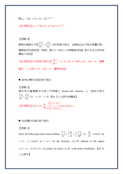$\mathbb{R}^2 u_{yy} - 2x u_y + x^2 u = (x - 2)^2 e^{3x + 2y}$ 

**【参考解答】**  $u = e^{xy} \phi_1(x) + x e^{xy} \phi_2(x) + e^{3x+2y}$ 

## 【習題 3】

請寫出偏微分方程  $\frac{2u}{x^2} + x \frac{\partial^2 u}{\partial x^2} = 0$  $x^2$   $\partial y$  $\frac{\partial^2 u}{\partial x^2}$ +x $\frac{\partial^2 u}{\partial y^2}$ =0的特徵方程式。並請指出此方程式是屬於哪一 種類型(例如拋物型,等等)。請分 *x* > 0和 *x* < 0 兩種情況討論。【93 中央土研所結 構組大地組】

【參考解答】(1)特徵方程式為  $\frac{dy}{dx}$  + x = 0  $\left(\frac{dy}{dx}\right)^2 + x = 0$ , (2)  $x > 0$ 時⇒  $B^2 - 4AC < 0$  , 屬橢 圓形, *x* < 0 時 ⇒ *B*<sup>2</sup> − 4AC > 0 ,屬雙曲線型。

■ 直角坐標的拉普拉斯方程式

【習題 1】

請利用分離變數法求得下列問題之 steady-state solution,*u*:控制方程式  $\frac{d^2u}{dx^2} + \frac{\partial^2u}{\partial y^2} = 0$  $\frac{\partial^2 u}{\partial x^2} + \frac{\partial^2 u}{\partial y^2} = 0$  , $x > 0$  , $t > 0$  。【91 交大土研所結構組】

 $(x, y) = \sum_{r=0}^{\infty} \frac{-2[1 - (-1)]}{\sqrt{2}}$ 【參考解答】 $\phi(x, y) = \sum_{n=1}^{\infty} \frac{1}{n\pi \left[1 + (n\pi)^2\right]}$  $2|1-(-1)$  $(y) = \sum_{n=1}^{\infty} \frac{1}{n^2} \sin y \sin y$ 1 *n n*  $f(x, y) = \sum \frac{y}{x} - \frac{y}{x^2} \sin y \sin n\pi x$  $n\pi$  | 1+ (*n*  $\phi(x, y) = \sum \frac{y}{x}$  in y sin  $n\pi$  $\pi$  | 1 + |  $n\pi$ ∞  $=\sum_{n=1}^{\infty}\frac{-2\left[1-\left(-1\right)^{n}\right]}{n\pi\left[1+\left(n\pi\right)^{2}\right]}$ ∑

■ 柱座標的拉普拉斯方程式

【習題 1】

Solve the following initial value problem  $2 f$  1 at 1 a<sup>2</sup>  $\frac{f}{2} + \frac{1}{r} \frac{\partial f}{\partial r} + \frac{1}{r^2} \frac{\partial^2 f}{\partial r^2} = 0$ *r*<sup>2</sup> *r*  $\partial r$  *r*<sup>2</sup>  $\partial \theta$  $\frac{\partial^2 f}{\partial r^2} + \frac{1}{r} \frac{\partial f}{\partial r} + \frac{1}{r^2} \frac{\partial^2 f}{\partial \theta^2} = 0$ ,  $\frac{\partial f}{\partial r} = 2 \cos \theta$  for  $r = 2$ ,  $f = 3\cos\theta$  as  $r \to \infty$  for the function  $f(r, \theta)$  defined in the region  $2 \le r < \infty$ ,  $0 \le \theta < 2\pi$  of a plane, for which  $(r, \theta)$  is the polar coordinates. [92 台 大土研所】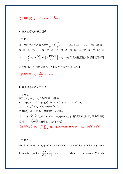【参考解答】  $f(r,\theta) = 3r\cos\theta + \frac{4}{r}\cos\theta$ *r*  $\theta$ ) = 3r cos  $\theta$  +  $-\cos \theta$ 

■ 直角坐標的熱導方程式

【習題 1】

有一偏微分方程式如下所示  $\sigma^2$ 2  $\frac{\partial u}{\partial t} = a^2 \frac{\partial^2 u}{\partial x^2}$  $\frac{\partial u}{\partial t}$  =  $a^2 \frac{\partial^2 u}{\partial z^2}$  , 其中 0≤ *z* ≤ 2*H* , *t* ≥ 0 , *a* 爲常係數。 應用變數分離法及已知 邊界條件求得其解為  $(z,t)$  $2^2$ <sup>2</sup>  $\sum_{n=1}^{\infty} A_n \sin \frac{n\pi x}{2H} \exp \left(-\frac{n\pi}{4H^2}\right)$  $u(z,t) = \sum_{n=1}^{\infty} A_n \sin \frac{n\pi x}{2} \exp \left(-\frac{n^2 \pi^2 a^2 t}{2} \right)$  $H$ <sup>--r</sup>  $4H$  $\sum_{m=1}^{\infty}$   $\sum_{n=1}^{\infty}$   $\pi x$   $\left(n^2 \pi\right)$  $=\sum_{n=1}^{\infty}A_{n}\sin{\frac{n\pi x}{2H}}\exp\left(-\frac{n^{2}\pi^{2}a^{2}t}{4H^{2}}\right)$ ,其中exp 代表指數函數。試根據初始條件  $u\!\left( z,0\right) \!=\! u_{\!_{}}\,$ ,求待定係數 $\,A_{\!n}^{}$  = ? 【92 台科大大地組(15%)】 exp

【参考解答】  $A_n = \frac{2u_0}{u_0} (1 - \cos n\pi)$  $=\frac{2u_0}{n\pi}\left(1-\cos n\pi\right)$ 

■ 直角坐標的波動方程式

【習題 1】

波方程 $u_{xx} + u_{yy} = u_{\mu}$ 的解滿足以下條件 B.C.:  $u(0, y, t) = 0$ ,  $u(1, y, t) = 0$ ,  $u(x, 0, t) = 0$ ,  $u(x, 1, t) = 0$ , I.C.:  $u(x, y, 0) = 0$ ,  $u(x, y, 0) = g(x,y)$ , 設 $g(x,y)$ 爲已知函數,而此解可以表示成  $(x,y,t)$ =  $\sum\limits_i\sum\limits_i D_{_{mn}}\sin(m\pi x)\sin(n\pi y)\sin(K_{_{mn}}t)$ ,請找出 $D_{_{mn}}$ 和 $K_{_{mn}}$ 的數學表達 式。【91 中央土研所結構組大地組(20%)】  $-1$   $n=1$  $(y, y, t) = \sum_{m} \sum_{mn} D_{mn} \sin(m\pi x) \sin(n\pi y) \sin(K_{mn}$  $m=1$   $n$  $u(x, y, t) = \sum_{m} \sum_{mn} D_{mn} \sin(m\pi x) \sin(n\pi y) \sin(K_{mn}t)$ ∞ ∞  $=\sum_{m=1}$   $\sum_{n=1}$   $D_{mn}$   $\sin(m\pi x)\sin(n\pi y)\sin(K_{mn}t)$  ,請找出 $D_{mn}$ 和 $K_{mn}$ 【參考解答】  $D_{mn} = \frac{4}{k} \int_0^1 \int_0^1 g(x, y) \sin m\pi x \sin n$  $D_{mn} = \frac{4}{k_{mn}} \int_0^1 \int_0^1 g(x, y) \sin m\pi x \sin n\pi y dx dy$ ,  $k_{mn} = \sqrt{m^2 \pi^2 + n^2 \pi^2}$ 

## 【習題 2】

The displacement  $u(x,t)$  of a semi-infinite is governed by the following partial differential equation  $\int_2 \partial^2 u \, \bigg| \, \partial^2$ 2  $2^{2}$  $c^2 \frac{\partial^2 u}{\partial x^2} = \frac{\partial^2 u}{\partial x^2}$  $\frac{\partial^2 u}{\partial x^2} = \frac{\partial^2 u}{\partial^2 t}$ ,  $x > 0$ ,  $t > 0$ , where *c* is a constant. With the